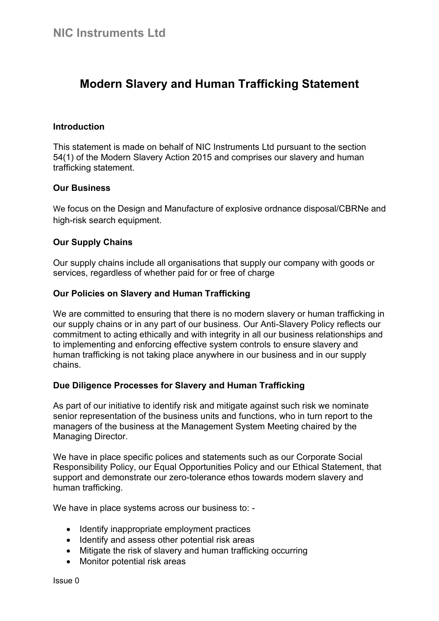# **Modern Slavery and Human Trafficking Statement**

## **Introduction**

This statement is made on behalf of NIC Instruments Ltd pursuant to the section 54(1) of the Modern Slavery Action 2015 and comprises our slavery and human trafficking statement.

### **Our Business**

We focus on the Design and Manufacture of explosive ordnance disposal/CBRNe and high-risk search equipment.

## **Our Supply Chains**

Our supply chains include all organisations that supply our company with goods or services, regardless of whether paid for or free of charge

## **Our Policies on Slavery and Human Trafficking**

We are committed to ensuring that there is no modern slavery or human trafficking in our supply chains or in any part of our business. Our Anti-Slavery Policy reflects our commitment to acting ethically and with integrity in all our business relationships and to implementing and enforcing effective system controls to ensure slavery and human trafficking is not taking place anywhere in our business and in our supply chains.

### **Due Diligence Processes for Slavery and Human Trafficking**

As part of our initiative to identify risk and mitigate against such risk we nominate senior representation of the business units and functions, who in turn report to the managers of the business at the Management System Meeting chaired by the Managing Director.

We have in place specific polices and statements such as our Corporate Social Responsibility Policy, our Equal Opportunities Policy and our Ethical Statement, that support and demonstrate our zero-tolerance ethos towards modern slavery and human trafficking.

We have in place systems across our business to: -

- Identify inappropriate employment practices
- Identify and assess other potential risk areas
- Mitigate the risk of slavery and human trafficking occurring
- Monitor potential risk areas